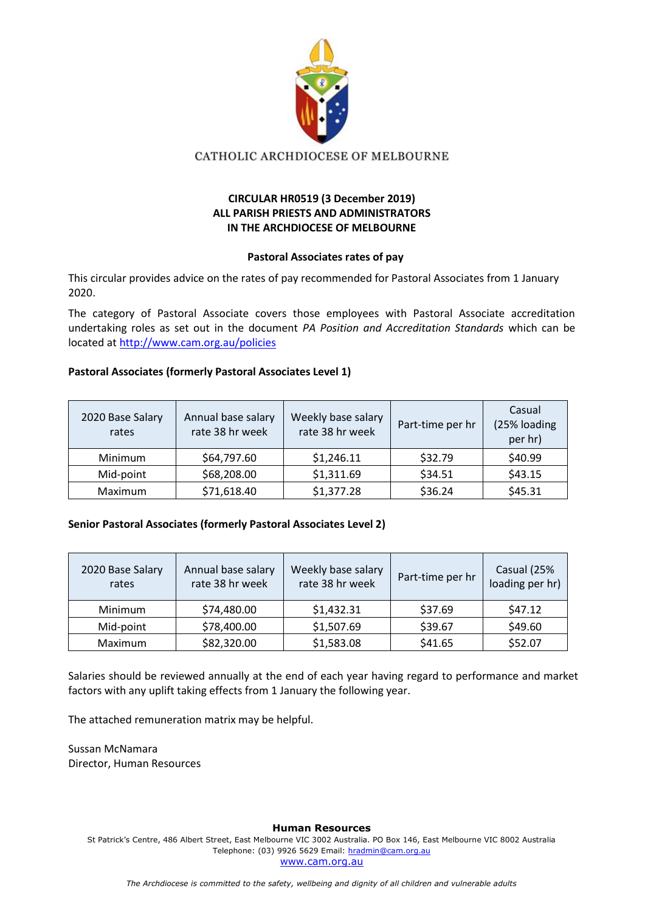

CATHOLIC ARCHDIOCESE OF MELBOURNE

# **CIRCULAR HR0519 (3 December 2019) ALL PARISH PRIESTS AND ADMINISTRATORS IN THE ARCHDIOCESE OF MELBOURNE**

## **Pastoral Associates rates of pay**

This circular provides advice on the rates of pay recommended for Pastoral Associates from 1 January 2020.

The category of Pastoral Associate covers those employees with Pastoral Associate accreditation undertaking roles as set out in the document *PA Position and Accreditation Standards* which can be located at<http://www.cam.org.au/policies>

# **Pastoral Associates (formerly Pastoral Associates Level 1)**

| 2020 Base Salary<br>rates | Annual base salary<br>rate 38 hr week | Weekly base salary<br>rate 38 hr week | Part-time per hr | Casual<br>(25% loading<br>per hr) |
|---------------------------|---------------------------------------|---------------------------------------|------------------|-----------------------------------|
| <b>Minimum</b>            | \$64,797.60                           | \$1,246.11                            | \$32.79          | \$40.99                           |
| Mid-point                 | \$68,208.00                           | \$1,311.69                            | \$34.51          | \$43.15                           |
| Maximum                   | \$71,618.40                           | \$1,377.28                            | \$36.24          | \$45.31                           |

### **Senior Pastoral Associates (formerly Pastoral Associates Level 2)**

| 2020 Base Salary<br>rates | Annual base salary<br>rate 38 hr week | Weekly base salary<br>rate 38 hr week | Part-time per hr | Casual (25%<br>loading per hr) |
|---------------------------|---------------------------------------|---------------------------------------|------------------|--------------------------------|
| <b>Minimum</b>            | \$74,480.00                           | \$1,432.31                            | \$37.69          | \$47.12                        |
| Mid-point                 | \$78,400.00                           | \$1,507.69                            | \$39.67          | \$49.60                        |
| Maximum                   | \$82,320.00                           | \$1,583.08                            | \$41.65          | \$52.07                        |

Salaries should be reviewed annually at the end of each year having regard to performance and market factors with any uplift taking effects from 1 January the following year.

The attached remuneration matrix may be helpful.

Sussan McNamara Director, Human Resources

### **Human Resources**

St Patrick's Centre, 486 Albert Street, East Melbourne VIC 3002 Australia. PO Box 146, East Melbourne VIC 8002 Australia Telephone: (03) 9926 5629 Email: [hradmin@cam.org.au](mailto:hradmin@cam.org.au) [www.cam.org.au](http://www.cam.org.au/)

*The Archdiocese is committed to the safety, wellbeing and dignity of all children and vulnerable adults*